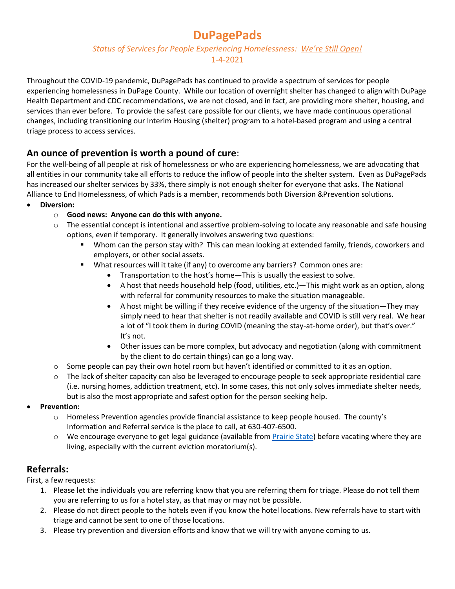# **DuPagePads**

*Status of Services for People Experiencing Homelessness: We're Still Open!*

#### 1-4-2021

Throughout the COVID-19 pandemic, DuPagePads has continued to provide a spectrum of services for people experiencing homelessness in DuPage County. While our location of overnight shelter has changed to align with DuPage Health Department and CDC recommendations, we are not closed, and in fact, are providing more shelter, housing, and services than ever before. To provide the safest care possible for our clients, we have made continuous operational changes, including transitioning our Interim Housing (shelter) program to a hotel-based program and using a central triage process to access services.

## **An ounce of prevention is worth a pound of cure**:

For the well-being of all people at risk of homelessness or who are experiencing homelessness, we are advocating that all entities in our community take all efforts to reduce the inflow of people into the shelter system. Even as DuPagePads has increased our shelter services by 33%, there simply is not enough shelter for everyone that asks. The National Alliance to End Homelessness, of which Pads is a member, recommends both Diversion &Prevention solutions.

- **Diversion:**
	- o **Good news: Anyone can do this with anyone.**
	- o The essential concept is intentional and assertive problem-solving to locate any reasonable and safe housing options, even if temporary. It generally involves answering two questions:
		- Whom can the person stay with? This can mean looking at extended family, friends, coworkers and employers, or other social assets.
		- What resources will it take (if any) to overcome any barriers? Common ones are:
			- Transportation to the host's home—This is usually the easiest to solve.
			- A host that needs household help (food, utilities, etc.)—This might work as an option, along with referral for community resources to make the situation manageable.
			- A host might be willing if they receive evidence of the urgency of the situation—They may simply need to hear that shelter is not readily available and COVID is still very real. We hear a lot of "I took them in during COVID (meaning the stay-at-home order), but that's over." It's not.
			- Other issues can be more complex, but advocacy and negotiation (along with commitment by the client to do certain things) can go a long way.
	- $\circ$  Some people can pay their own hotel room but haven't identified or committed to it as an option.
	- $\circ$  The lack of shelter capacity can also be leveraged to encourage people to seek appropriate residential care (i.e. nursing homes, addiction treatment, etc). In some cases, this not only solves immediate shelter needs, but is also the most appropriate and safest option for the person seeking help.
- **Prevention:**
	- o Homeless Prevention agencies provide financial assistance to keep people housed. The county's Information and Referral service is the place to call, at 630-407-6500.
	- $\circ$  We encourage everyone to get legal guidance (available from Prairie State) before vacating where they are living, especially with the current eviction moratorium(s).

### **Referrals:**

First, a few requests:

- 1. Please let the individuals you are referring know that you are referring them for triage. Please do not tell them you are referring to us for a hotel stay, as that may or may not be possible.
- 2. Please do not direct people to the hotels even if you know the hotel locations. New referrals have to start with triage and cannot be sent to one of those locations.
- 3. Please try prevention and diversion efforts and know that we will try with anyone coming to us.